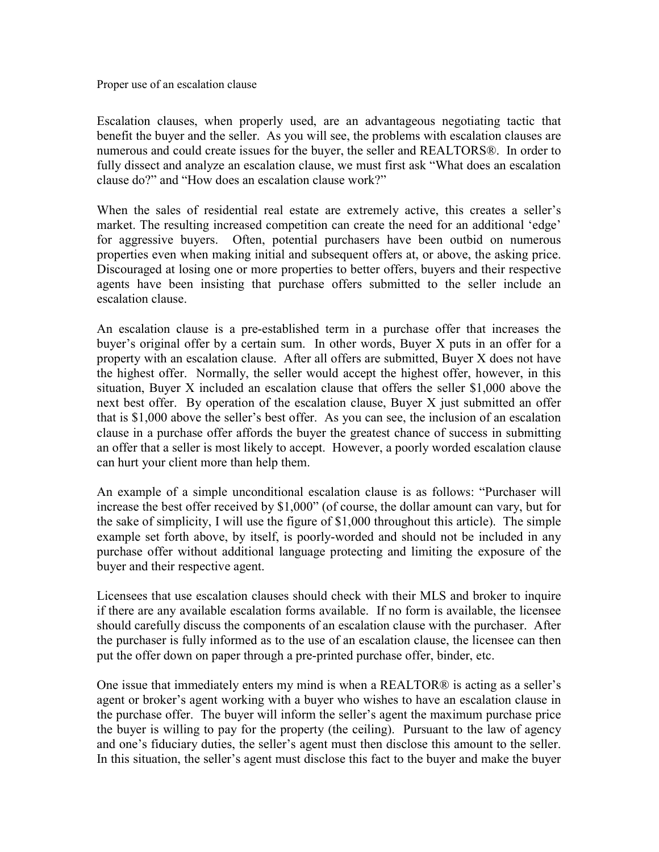Proper use of an escalation clause

Escalation clauses, when properly used, are an advantageous negotiating tactic that benefit the buyer and the seller. As you will see, the problems with escalation clauses are numerous and could create issues for the buyer, the seller and REALTORS®. In order to fully dissect and analyze an escalation clause, we must first ask "What does an escalation clause do?" and "How does an escalation clause work?"

When the sales of residential real estate are extremely active, this creates a seller's market. The resulting increased competition can create the need for an additional 'edge' for aggressive buyers. Often, potential purchasers have been outbid on numerous properties even when making initial and subsequent offers at, or above, the asking price. Discouraged at losing one or more properties to better offers, buyers and their respective agents have been insisting that purchase offers submitted to the seller include an escalation clause.

An escalation clause is a pre-established term in a purchase offer that increases the buyer's original offer by a certain sum. In other words, Buyer X puts in an offer for a property with an escalation clause. After all offers are submitted, Buyer X does not have the highest offer. Normally, the seller would accept the highest offer, however, in this situation, Buyer X included an escalation clause that offers the seller \$1,000 above the next best offer. By operation of the escalation clause, Buyer X just submitted an offer that is \$1,000 above the seller's best offer. As you can see, the inclusion of an escalation clause in a purchase offer affords the buyer the greatest chance of success in submitting an offer that a seller is most likely to accept. However, a poorly worded escalation clause can hurt your client more than help them.

An example of a simple unconditional escalation clause is as follows: "Purchaser will increase the best offer received by \$1,000" (of course, the dollar amount can vary, but for the sake of simplicity, I will use the figure of \$1,000 throughout this article). The simple example set forth above, by itself, is poorly-worded and should not be included in any purchase offer without additional language protecting and limiting the exposure of the buyer and their respective agent.

Licensees that use escalation clauses should check with their MLS and broker to inquire if there are any available escalation forms available. If no form is available, the licensee should carefully discuss the components of an escalation clause with the purchaser. After the purchaser is fully informed as to the use of an escalation clause, the licensee can then put the offer down on paper through a pre-printed purchase offer, binder, etc.

One issue that immediately enters my mind is when a REALTOR® is acting as a seller's agent or broker's agent working with a buyer who wishes to have an escalation clause in the purchase offer. The buyer will inform the seller's agent the maximum purchase price the buyer is willing to pay for the property (the ceiling). Pursuant to the law of agency and one's fiduciary duties, the seller's agent must then disclose this amount to the seller. In this situation, the seller's agent must disclose this fact to the buyer and make the buyer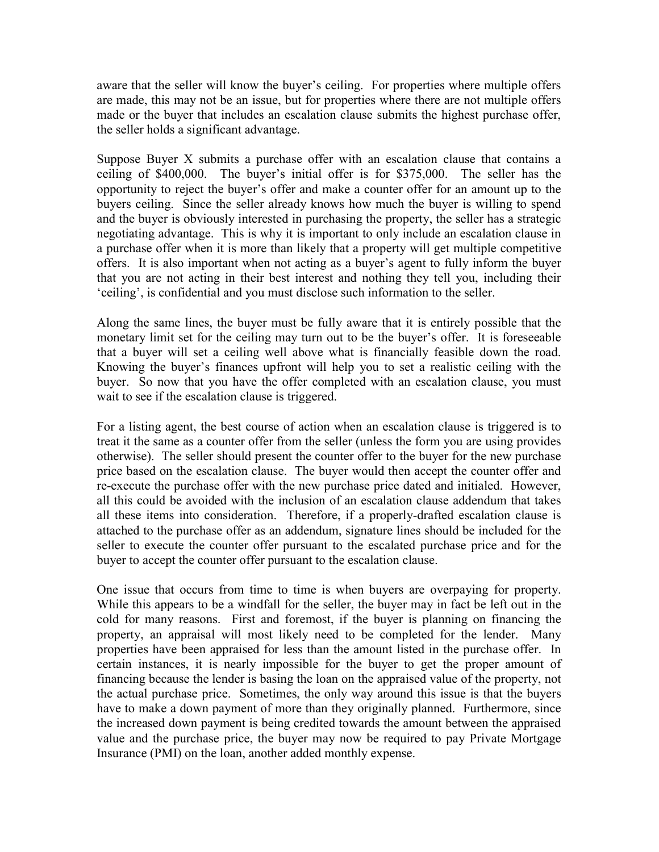aware that the seller will know the buyer's ceiling. For properties where multiple offers are made, this may not be an issue, but for properties where there are not multiple offers made or the buyer that includes an escalation clause submits the highest purchase offer, the seller holds a significant advantage.

Suppose Buyer X submits a purchase offer with an escalation clause that contains a ceiling of \$400,000. The buyer's initial offer is for \$375,000. The seller has the opportunity to reject the buyer's offer and make a counter offer for an amount up to the buyers ceiling. Since the seller already knows how much the buyer is willing to spend and the buyer is obviously interested in purchasing the property, the seller has a strategic negotiating advantage. This is why it is important to only include an escalation clause in a purchase offer when it is more than likely that a property will get multiple competitive offers. It is also important when not acting as a buyer's agent to fully inform the buyer that you are not acting in their best interest and nothing they tell you, including their 'ceiling', is confidential and you must disclose such information to the seller.

Along the same lines, the buyer must be fully aware that it is entirely possible that the monetary limit set for the ceiling may turn out to be the buyer's offer. It is foreseeable that a buyer will set a ceiling well above what is financially feasible down the road. Knowing the buyer's finances upfront will help you to set a realistic ceiling with the buyer. So now that you have the offer completed with an escalation clause, you must wait to see if the escalation clause is triggered.

For a listing agent, the best course of action when an escalation clause is triggered is to treat it the same as a counter offer from the seller (unless the form you are using provides otherwise). The seller should present the counter offer to the buyer for the new purchase price based on the escalation clause. The buyer would then accept the counter offer and re-execute the purchase offer with the new purchase price dated and initialed. However, all this could be avoided with the inclusion of an escalation clause addendum that takes all these items into consideration. Therefore, if a properly-drafted escalation clause is attached to the purchase offer as an addendum, signature lines should be included for the seller to execute the counter offer pursuant to the escalated purchase price and for the buyer to accept the counter offer pursuant to the escalation clause.

One issue that occurs from time to time is when buyers are overpaying for property. While this appears to be a windfall for the seller, the buyer may in fact be left out in the cold for many reasons. First and foremost, if the buyer is planning on financing the property, an appraisal will most likely need to be completed for the lender. Many properties have been appraised for less than the amount listed in the purchase offer. In certain instances, it is nearly impossible for the buyer to get the proper amount of financing because the lender is basing the loan on the appraised value of the property, not the actual purchase price. Sometimes, the only way around this issue is that the buyers have to make a down payment of more than they originally planned. Furthermore, since the increased down payment is being credited towards the amount between the appraised value and the purchase price, the buyer may now be required to pay Private Mortgage Insurance (PMI) on the loan, another added monthly expense.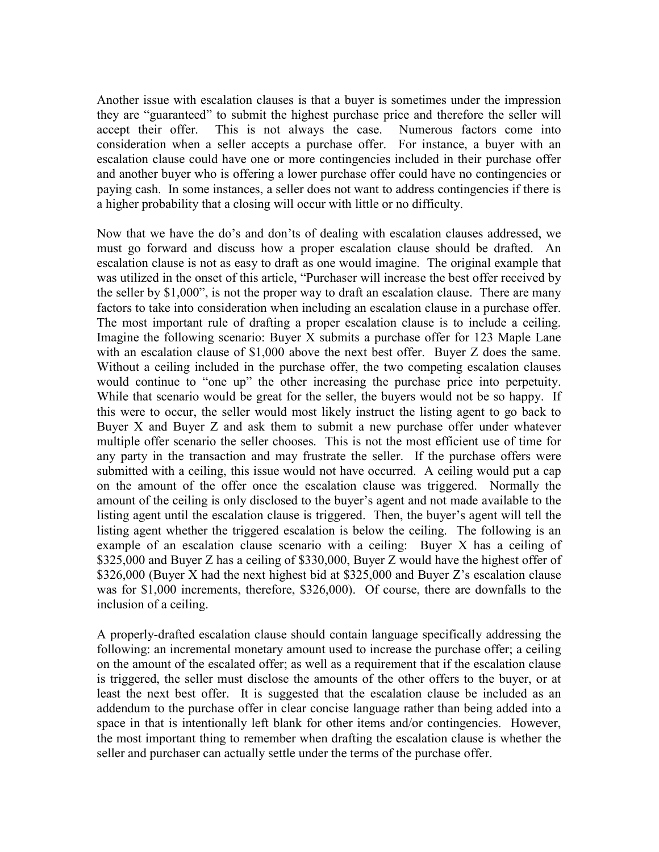Another issue with escalation clauses is that a buyer is sometimes under the impression they are "guaranteed" to submit the highest purchase price and therefore the seller will accept their offer. This is not always the case. Numerous factors come into consideration when a seller accepts a purchase offer. For instance, a buyer with an escalation clause could have one or more contingencies included in their purchase offer and another buyer who is offering a lower purchase offer could have no contingencies or paying cash. In some instances, a seller does not want to address contingencies if there is a higher probability that a closing will occur with little or no difficulty.

Now that we have the do's and don'ts of dealing with escalation clauses addressed, we must go forward and discuss how a proper escalation clause should be drafted. An escalation clause is not as easy to draft as one would imagine. The original example that was utilized in the onset of this article, "Purchaser will increase the best offer received by the seller by \$1,000", is not the proper way to draft an escalation clause. There are many factors to take into consideration when including an escalation clause in a purchase offer. The most important rule of drafting a proper escalation clause is to include a ceiling. Imagine the following scenario: Buyer X submits a purchase offer for 123 Maple Lane with an escalation clause of \$1,000 above the next best offer. Buyer Z does the same. Without a ceiling included in the purchase offer, the two competing escalation clauses would continue to "one up" the other increasing the purchase price into perpetuity. While that scenario would be great for the seller, the buyers would not be so happy. If this were to occur, the seller would most likely instruct the listing agent to go back to Buyer X and Buyer Z and ask them to submit a new purchase offer under whatever multiple offer scenario the seller chooses. This is not the most efficient use of time for any party in the transaction and may frustrate the seller. If the purchase offers were submitted with a ceiling, this issue would not have occurred. A ceiling would put a cap on the amount of the offer once the escalation clause was triggered. Normally the amount of the ceiling is only disclosed to the buyer's agent and not made available to the listing agent until the escalation clause is triggered. Then, the buyer's agent will tell the listing agent whether the triggered escalation is below the ceiling. The following is an example of an escalation clause scenario with a ceiling: Buyer X has a ceiling of \$325,000 and Buyer Z has a ceiling of \$330,000, Buyer Z would have the highest offer of \$326,000 (Buyer X had the next highest bid at \$325,000 and Buyer Z's escalation clause was for \$1,000 increments, therefore, \$326,000). Of course, there are downfalls to the inclusion of a ceiling.

A properly-drafted escalation clause should contain language specifically addressing the following: an incremental monetary amount used to increase the purchase offer; a ceiling on the amount of the escalated offer; as well as a requirement that if the escalation clause is triggered, the seller must disclose the amounts of the other offers to the buyer, or at least the next best offer. It is suggested that the escalation clause be included as an addendum to the purchase offer in clear concise language rather than being added into a space in that is intentionally left blank for other items and/or contingencies. However, the most important thing to remember when drafting the escalation clause is whether the seller and purchaser can actually settle under the terms of the purchase offer.